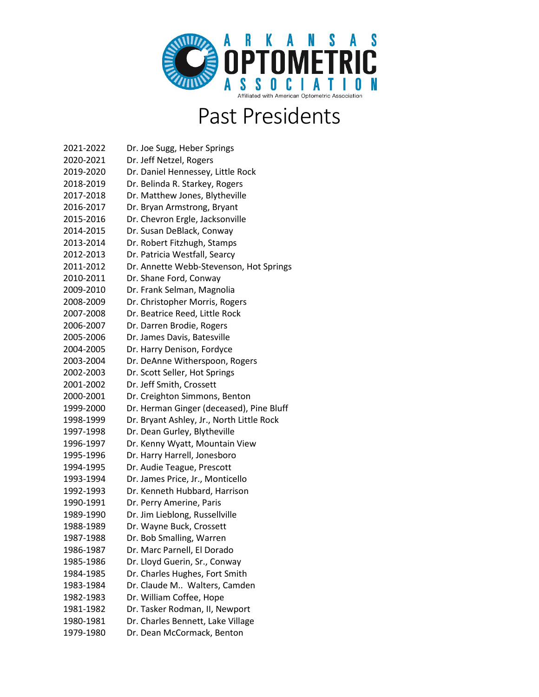

## Past Presidents

| 2021-2022 | Dr. Joe Sugg, Heber Springs               |
|-----------|-------------------------------------------|
| 2020-2021 | Dr. Jeff Netzel, Rogers                   |
| 2019-2020 | Dr. Daniel Hennessey, Little Rock         |
| 2018-2019 | Dr. Belinda R. Starkey, Rogers            |
| 2017-2018 | Dr. Matthew Jones, Blytheville            |
| 2016-2017 | Dr. Bryan Armstrong, Bryant               |
| 2015-2016 | Dr. Chevron Ergle, Jacksonville           |
| 2014-2015 | Dr. Susan DeBlack, Conway                 |
| 2013-2014 | Dr. Robert Fitzhugh, Stamps               |
| 2012-2013 | Dr. Patricia Westfall, Searcy             |
| 2011-2012 | Dr. Annette Webb-Stevenson, Hot Springs   |
| 2010-2011 | Dr. Shane Ford, Conway                    |
| 2009-2010 | Dr. Frank Selman, Magnolia                |
| 2008-2009 | Dr. Christopher Morris, Rogers            |
| 2007-2008 | Dr. Beatrice Reed, Little Rock            |
| 2006-2007 | Dr. Darren Brodie, Rogers                 |
| 2005-2006 | Dr. James Davis, Batesville               |
| 2004-2005 | Dr. Harry Denison, Fordyce                |
| 2003-2004 | Dr. DeAnne Witherspoon, Rogers            |
| 2002-2003 | Dr. Scott Seller, Hot Springs             |
| 2001-2002 | Dr. Jeff Smith, Crossett                  |
| 2000-2001 | Dr. Creighton Simmons, Benton             |
| 1999-2000 | Dr. Herman Ginger (deceased), Pine Bluff  |
| 1998-1999 | Dr. Bryant Ashley, Jr., North Little Rock |
| 1997-1998 | Dr. Dean Gurley, Blytheville              |
| 1996-1997 | Dr. Kenny Wyatt, Mountain View            |
| 1995-1996 | Dr. Harry Harrell, Jonesboro              |
| 1994-1995 | Dr. Audie Teague, Prescott                |
| 1993-1994 | Dr. James Price, Jr., Monticello          |
| 1992-1993 | Dr. Kenneth Hubbard, Harrison             |
| 1990-1991 | Dr. Perry Amerine, Paris                  |
| 1989-1990 | Dr. Jim Lieblong, Russellville            |
| 1988-1989 | Dr. Wayne Buck, Crossett                  |
| 1987-1988 | Dr. Bob Smalling, Warren                  |
| 1986-1987 | Dr. Marc Parnell, El Dorado               |
| 1985-1986 | Dr. Lloyd Guerin, Sr., Conway             |
| 1984-1985 | Dr. Charles Hughes, Fort Smith            |
| 1983-1984 | Dr. Claude M Walters, Camden              |
| 1982-1983 | Dr. William Coffee, Hope                  |
| 1981-1982 | Dr. Tasker Rodman, II, Newport            |
| 1980-1981 | Dr. Charles Bennett, Lake Village         |
| 1979-1980 | Dr. Dean McCormack, Benton                |